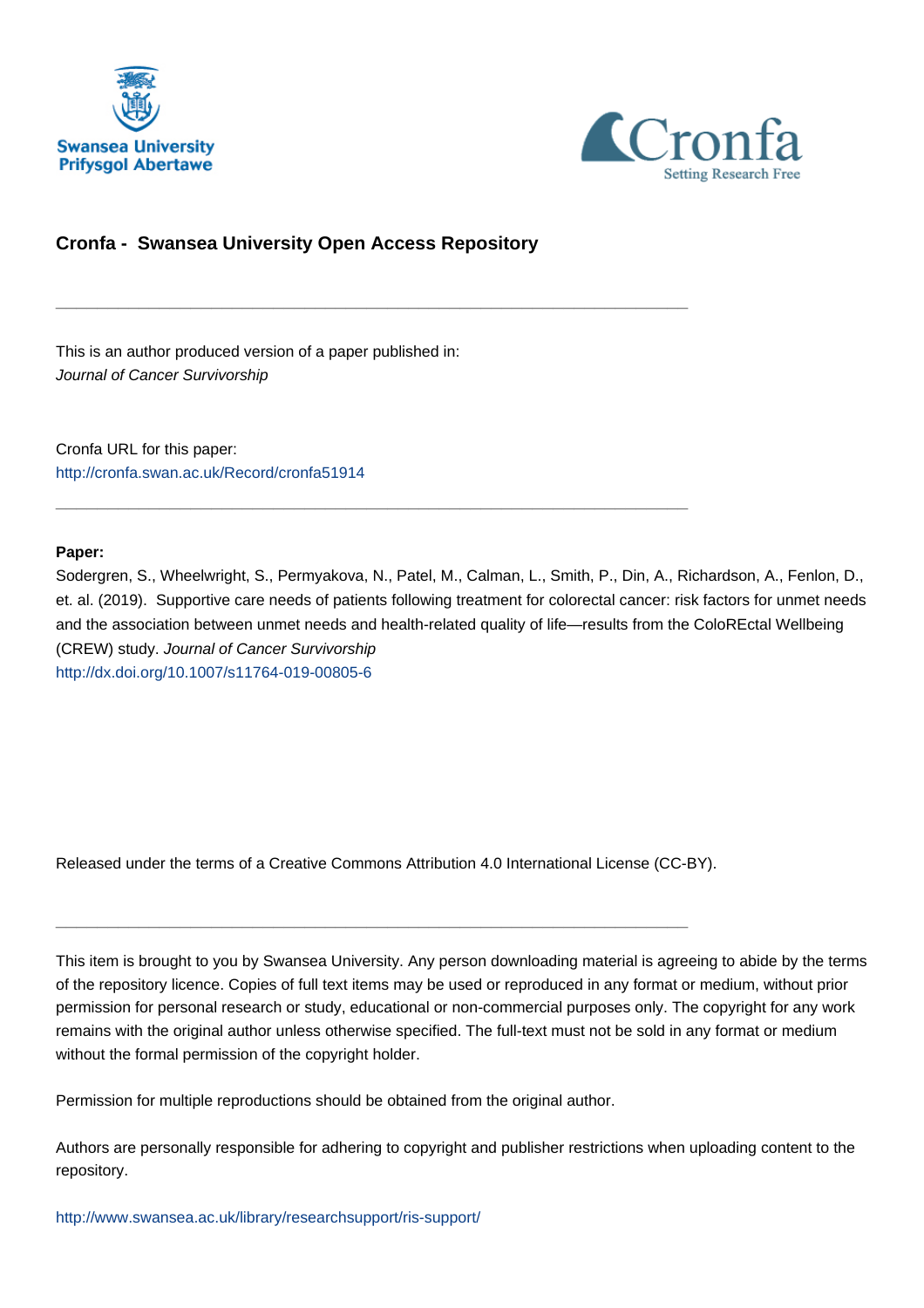



# **Cronfa - Swansea University Open Access Repository**

\_\_\_\_\_\_\_\_\_\_\_\_\_\_\_\_\_\_\_\_\_\_\_\_\_\_\_\_\_\_\_\_\_\_\_\_\_\_\_\_\_\_\_\_\_\_\_\_\_\_\_\_\_\_\_\_\_\_\_\_\_

\_\_\_\_\_\_\_\_\_\_\_\_\_\_\_\_\_\_\_\_\_\_\_\_\_\_\_\_\_\_\_\_\_\_\_\_\_\_\_\_\_\_\_\_\_\_\_\_\_\_\_\_\_\_\_\_\_\_\_\_\_

This is an author produced version of a paper published in: Journal of Cancer Survivorship

Cronfa URL for this paper: <http://cronfa.swan.ac.uk/Record/cronfa51914>

## **Paper:**

Sodergren, S., Wheelwright, S., Permyakova, N., Patel, M., Calman, L., Smith, P., Din, A., Richardson, A., Fenlon, D., et. al. (2019). Supportive care needs of patients following treatment for colorectal cancer: risk factors for unmet needs and the association between unmet needs and health-related quality of life—results from the ColoREctal Wellbeing (CREW) study. Journal of Cancer Survivorship <http://dx.doi.org/10.1007/s11764-019-00805-6>

Released under the terms of a Creative Commons Attribution 4.0 International License (CC-BY).

 $\_$  , and the set of the set of the set of the set of the set of the set of the set of the set of the set of the set of the set of the set of the set of the set of the set of the set of the set of the set of the set of th

This item is brought to you by Swansea University. Any person downloading material is agreeing to abide by the terms of the repository licence. Copies of full text items may be used or reproduced in any format or medium, without prior permission for personal research or study, educational or non-commercial purposes only. The copyright for any work remains with the original author unless otherwise specified. The full-text must not be sold in any format or medium without the formal permission of the copyright holder.

Permission for multiple reproductions should be obtained from the original author.

Authors are personally responsible for adhering to copyright and publisher restrictions when uploading content to the repository.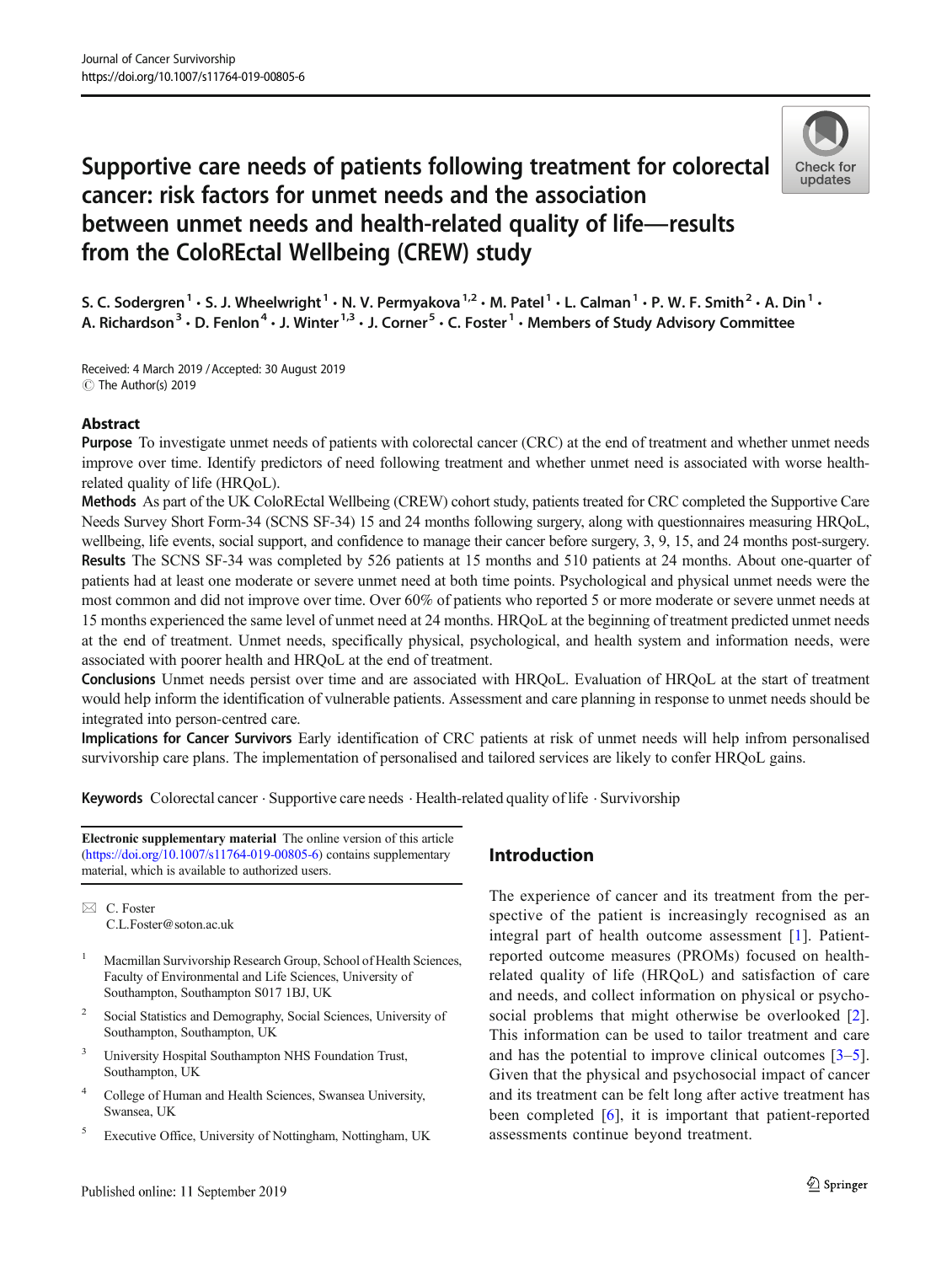# Supportive care needs of patients following treatment for colorectal cancer: risk factors for unmet needs and the association between unmet needs and health-related quality of life—results from the ColoREctal Wellbeing (CREW) study



S. C. Sodergren<sup>1</sup>  $\cdot$  S. J. Wheelwright<sup>1</sup>  $\cdot$  N. V. Permyakova<sup>1,2</sup>  $\cdot$  M. Patel<sup>1</sup>  $\cdot$  L. Calman<sup>1</sup>  $\cdot$  P. W. F. Smith<sup>2</sup>  $\cdot$  A. Din<sup>1</sup>  $\cdot$ A. Richardson<sup>3</sup>  $\cdot$  D. Fenlon<sup>4</sup>  $\cdot$  J. Winter<sup>1,3</sup>  $\cdot$  J. Corner<sup>5</sup>  $\cdot$  C. Foster<sup>1</sup>  $\cdot$  Members of Study Advisory Committee

Received: 4 March 2019 /Accepted: 30 August 2019  $\circledcirc$  The Author(s) 2019

## Abstract

Purpose To investigate unmet needs of patients with colorectal cancer (CRC) at the end of treatment and whether unmet needs improve over time. Identify predictors of need following treatment and whether unmet need is associated with worse healthrelated quality of life (HRQoL).

Methods As part of the UK ColoREctal Wellbeing (CREW) cohort study, patients treated for CRC completed the Supportive Care Needs Survey Short Form-34 (SCNS SF-34) 15 and 24 months following surgery, along with questionnaires measuring HRQoL, wellbeing, life events, social support, and confidence to manage their cancer before surgery, 3, 9, 15, and 24 months post-surgery. Results The SCNS SF-34 was completed by 526 patients at 15 months and 510 patients at 24 months. About one-quarter of patients had at least one moderate or severe unmet need at both time points. Psychological and physical unmet needs were the most common and did not improve over time. Over 60% of patients who reported 5 or more moderate or severe unmet needs at 15 months experienced the same level of unmet need at 24 months. HRQoL at the beginning of treatment predicted unmet needs at the end of treatment. Unmet needs, specifically physical, psychological, and health system and information needs, were associated with poorer health and HRQoL at the end of treatment.

Conclusions Unmet needs persist over time and are associated with HRQoL. Evaluation of HRQoL at the start of treatment would help inform the identification of vulnerable patients. Assessment and care planning in response to unmet needs should be integrated into person-centred care.

Implications for Cancer Survivors Early identification of CRC patients at risk of unmet needs will help infrom personalised survivorship care plans. The implementation of personalised and tailored services are likely to confer HRQoL gains.

Keywords Colorectal cancer  $\cdot$  Supportive care needs  $\cdot$  Health-related quality of life  $\cdot$  Survivorship

Electronic supplementary material The online version of this article (https://doi.org/10.1007/s11764-019-00805-6) contains supplementary material, which is available to authorized users.

 $\boxtimes$  C. Foster C.L.Foster@soton.ac.uk

- <sup>1</sup> Macmillan Survivorship Research Group, School of Health Sciences, Faculty of Environmental and Life Sciences, University of Southampton, Southampton S017 1BJ, UK
- <sup>2</sup> Social Statistics and Demography, Social Sciences, University of Southampton, Southampton, UK
- University Hospital Southampton NHS Foundation Trust, Southampton, UK
- <sup>4</sup> College of Human and Health Sciences, Swansea University, Swansea, UK
- <sup>5</sup> Executive Office, University of Nottingham, Nottingham, UK

## Introduction

The experience of cancer and its treatment from the perspective of the patient is increasingly recognised as an integral part of health outcome assessment [1]. Patientreported outcome measures (PROMs) focused on healthrelated quality of life (HRQoL) and satisfaction of care and needs, and collect information on physical or psychosocial problems that might otherwise be overlooked [2]. This information can be used to tailor treatment and care and has the potential to improve clinical outcomes  $[3-5]$ . Given that the physical and psychosocial impact of cancer and its treatment can be felt long after active treatment has been completed [6], it is important that patient-reported assessments continue beyond treatment.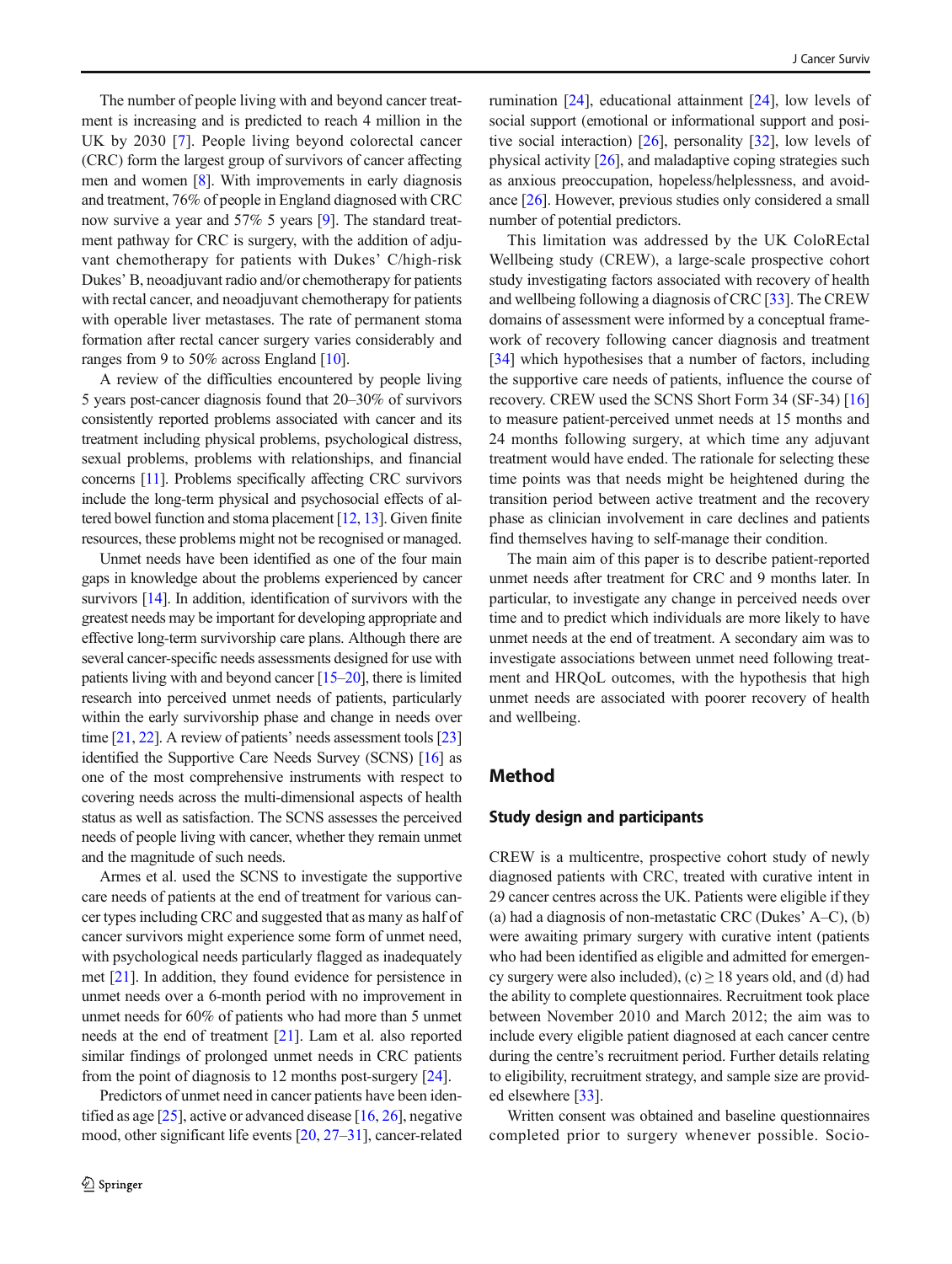The number of people living with and beyond cancer treatment is increasing and is predicted to reach 4 million in the UK by 2030 [7]. People living beyond colorectal cancer (CRC) form the largest group of survivors of cancer affecting men and women [8]. With improvements in early diagnosis and treatment, 76% of people in England diagnosed with CRC now survive a year and 57% 5 years [9]. The standard treatment pathway for CRC is surgery, with the addition of adjuvant chemotherapy for patients with Dukes' C/high-risk Dukes' B, neoadjuvant radio and/or chemotherapy for patients with rectal cancer, and neoadjuvant chemotherapy for patients with operable liver metastases. The rate of permanent stoma formation after rectal cancer surgery varies considerably and ranges from 9 to 50% across England [10].

A review of the difficulties encountered by people living 5 years post-cancer diagnosis found that 20–30% of survivors consistently reported problems associated with cancer and its treatment including physical problems, psychological distress, sexual problems, problems with relationships, and financial concerns [11]. Problems specifically affecting CRC survivors include the long-term physical and psychosocial effects of altered bowel function and stoma placement [12, 13]. Given finite resources, these problems might not be recognised or managed.

Unmet needs have been identified as one of the four main gaps in knowledge about the problems experienced by cancer survivors [14]. In addition, identification of survivors with the greatest needs may be important for developing appropriate and effective long-term survivorship care plans. Although there are several cancer-specific needs assessments designed for use with patients living with and beyond cancer [15–20], there is limited research into perceived unmet needs of patients, particularly within the early survivorship phase and change in needs over time [21, 22]. A review of patients' needs assessment tools [23] identified the Supportive Care Needs Survey (SCNS) [16] as one of the most comprehensive instruments with respect to covering needs across the multi-dimensional aspects of health status as well as satisfaction. The SCNS assesses the perceived needs of people living with cancer, whether they remain unmet and the magnitude of such needs.

Armes et al. used the SCNS to investigate the supportive care needs of patients at the end of treatment for various cancer types including CRC and suggested that as many as half of cancer survivors might experience some form of unmet need, with psychological needs particularly flagged as inadequately met [21]. In addition, they found evidence for persistence in unmet needs over a 6-month period with no improvement in unmet needs for 60% of patients who had more than 5 unmet needs at the end of treatment [21]. Lam et al. also reported similar findings of prolonged unmet needs in CRC patients from the point of diagnosis to 12 months post-surgery [24].

Predictors of unmet need in cancer patients have been identified as age  $[25]$ , active or advanced disease  $[16, 26]$ , negative mood, other significant life events [20, 27–31], cancer-related rumination [24], educational attainment [24], low levels of social support (emotional or informational support and positive social interaction) [26], personality [32], low levels of physical activity [26], and maladaptive coping strategies such as anxious preoccupation, hopeless/helplessness, and avoidance [26]. However, previous studies only considered a small number of potential predictors.

This limitation was addressed by the UK ColoREctal Wellbeing study (CREW), a large-scale prospective cohort study investigating factors associated with recovery of health and wellbeing following a diagnosis of CRC [33]. The CREW domains of assessment were informed by a conceptual framework of recovery following cancer diagnosis and treatment [34] which hypothesises that a number of factors, including the supportive care needs of patients, influence the course of recovery. CREW used the SCNS Short Form 34 (SF-34) [16] to measure patient-perceived unmet needs at 15 months and 24 months following surgery, at which time any adjuvant treatment would have ended. The rationale for selecting these time points was that needs might be heightened during the transition period between active treatment and the recovery phase as clinician involvement in care declines and patients find themselves having to self-manage their condition.

The main aim of this paper is to describe patient-reported unmet needs after treatment for CRC and 9 months later. In particular, to investigate any change in perceived needs over time and to predict which individuals are more likely to have unmet needs at the end of treatment. A secondary aim was to investigate associations between unmet need following treatment and HRQoL outcomes, with the hypothesis that high unmet needs are associated with poorer recovery of health and wellbeing.

## Method

## Study design and participants

CREW is a multicentre, prospective cohort study of newly diagnosed patients with CRC, treated with curative intent in 29 cancer centres across the UK. Patients were eligible if they (a) had a diagnosis of non-metastatic CRC (Dukes' A–C), (b) were awaiting primary surgery with curative intent (patients who had been identified as eligible and admitted for emergency surgery were also included),  $(c) \ge 18$  years old, and (d) had the ability to complete questionnaires. Recruitment took place between November 2010 and March 2012; the aim was to include every eligible patient diagnosed at each cancer centre during the centre's recruitment period. Further details relating to eligibility, recruitment strategy, and sample size are provided elsewhere [33].

Written consent was obtained and baseline questionnaires completed prior to surgery whenever possible. Socio-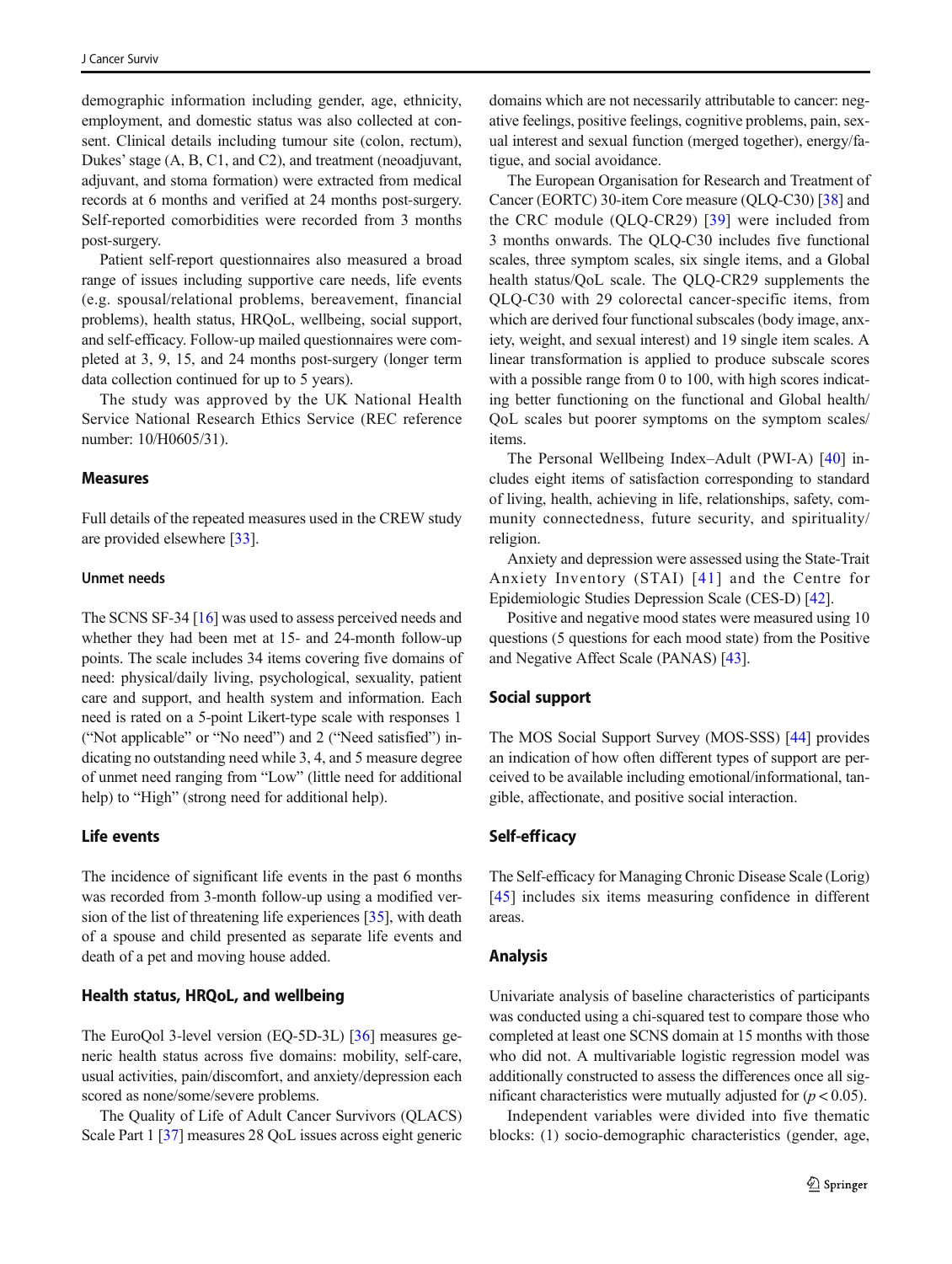demographic information including gender, age, ethnicity, employment, and domestic status was also collected at consent. Clinical details including tumour site (colon, rectum), Dukes'stage (A, B, C1, and C2), and treatment (neoadjuvant, adjuvant, and stoma formation) were extracted from medical records at 6 months and verified at 24 months post-surgery. Self-reported comorbidities were recorded from 3 months post-surgery.

Patient self-report questionnaires also measured a broad range of issues including supportive care needs, life events (e.g. spousal/relational problems, bereavement, financial problems), health status, HRQoL, wellbeing, social support, and self-efficacy. Follow-up mailed questionnaires were completed at 3, 9, 15, and 24 months post-surgery (longer term data collection continued for up to 5 years).

The study was approved by the UK National Health Service National Research Ethics Service (REC reference number: 10/H0605/31).

#### Measures

Full details of the repeated measures used in the CREW study are provided elsewhere [33].

#### Unmet needs

The SCNS SF-34 [16] was used to assess perceived needs and whether they had been met at 15- and 24-month follow-up points. The scale includes 34 items covering five domains of need: physical/daily living, psychological, sexuality, patient care and support, and health system and information. Each need is rated on a 5-point Likert-type scale with responses 1 ("Not applicable" or "No need") and 2 ("Need satisfied") indicating no outstanding need while 3, 4, and 5 measure degree of unmet need ranging from "Low" (little need for additional help) to "High" (strong need for additional help).

## Life events

The incidence of significant life events in the past 6 months was recorded from 3-month follow-up using a modified version of the list of threatening life experiences [35], with death of a spouse and child presented as separate life events and death of a pet and moving house added.

#### Health status, HRQoL, and wellbeing

The EuroQol 3-level version (EQ-5D-3L) [36] measures generic health status across five domains: mobility, self-care, usual activities, pain/discomfort, and anxiety/depression each scored as none/some/severe problems.

The Quality of Life of Adult Cancer Survivors (QLACS) Scale Part 1 [37] measures 28 QoL issues across eight generic domains which are not necessarily attributable to cancer: negative feelings, positive feelings, cognitive problems, pain, sexual interest and sexual function (merged together), energy/fatigue, and social avoidance.

The European Organisation for Research and Treatment of Cancer (EORTC) 30-item Core measure (QLQ-C30) [38] and the CRC module (QLQ-CR29) [39] were included from 3 months onwards. The QLQ-C30 includes five functional scales, three symptom scales, six single items, and a Global health status/QoL scale. The QLQ-CR29 supplements the QLQ-C30 with 29 colorectal cancer-specific items, from which are derived four functional subscales (body image, anxiety, weight, and sexual interest) and 19 single item scales. A linear transformation is applied to produce subscale scores with a possible range from 0 to 100, with high scores indicating better functioning on the functional and Global health/ QoL scales but poorer symptoms on the symptom scales/ items.

The Personal Wellbeing Index–Adult (PWI-A) [40] includes eight items of satisfaction corresponding to standard of living, health, achieving in life, relationships, safety, community connectedness, future security, and spirituality/ religion.

Anxiety and depression were assessed using the State-Trait Anxiety Inventory (STAI) [41] and the Centre for Epidemiologic Studies Depression Scale (CES-D) [42].

Positive and negative mood states were measured using 10 questions (5 questions for each mood state) from the Positive and Negative Affect Scale (PANAS) [43].

#### Social support

The MOS Social Support Survey (MOS-SSS) [44] provides an indication of how often different types of support are perceived to be available including emotional/informational, tangible, affectionate, and positive social interaction.

#### Self-efficacy

The Self-efficacy for Managing Chronic Disease Scale (Lorig) [45] includes six items measuring confidence in different areas.

#### Analysis

Univariate analysis of baseline characteristics of participants was conducted using a chi-squared test to compare those who completed at least one SCNS domain at 15 months with those who did not. A multivariable logistic regression model was additionally constructed to assess the differences once all significant characteristics were mutually adjusted for  $(p < 0.05)$ .

Independent variables were divided into five thematic blocks: (1) socio-demographic characteristics (gender, age,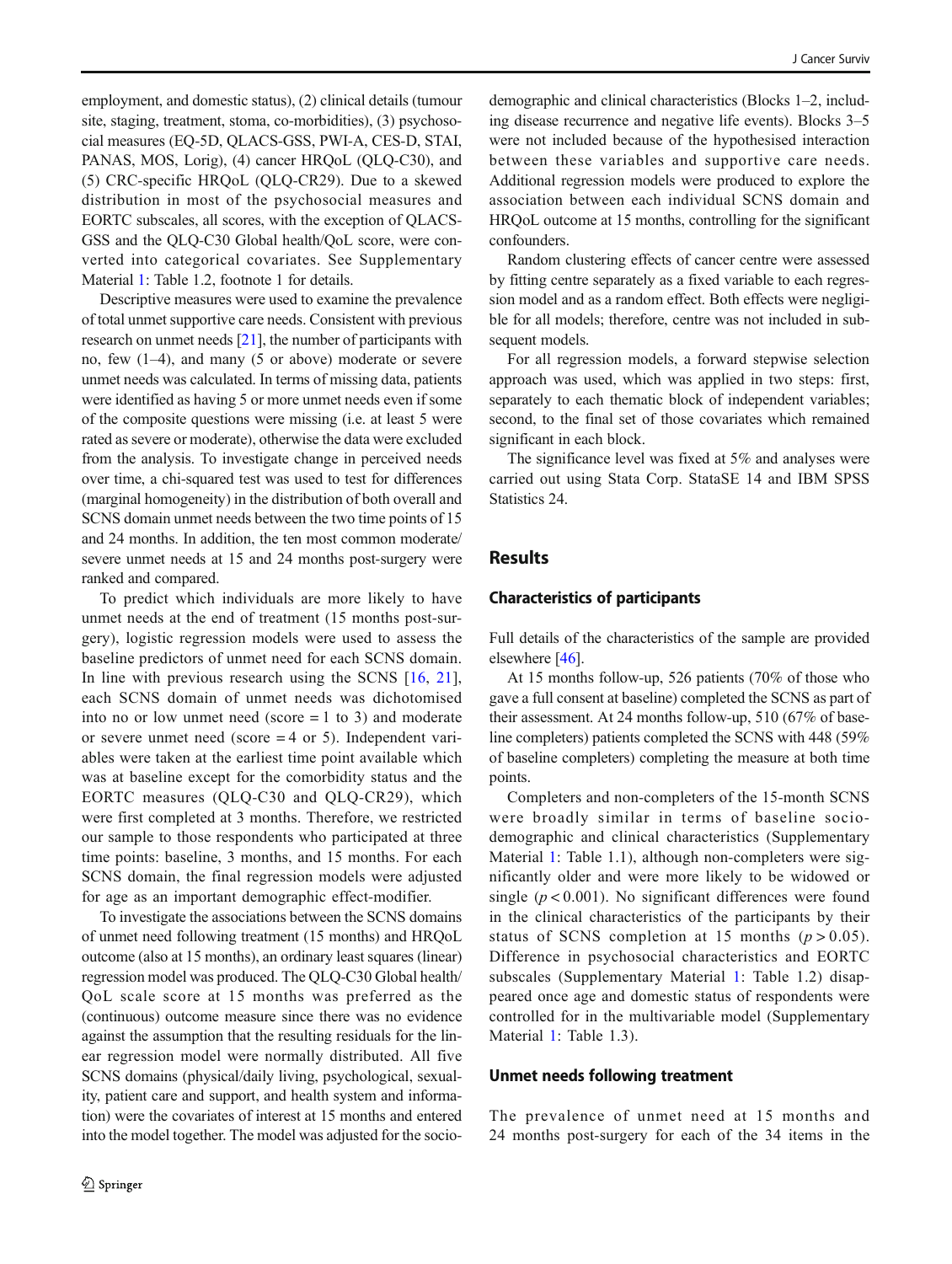employment, and domestic status), (2) clinical details (tumour site, staging, treatment, stoma, co-morbidities), (3) psychosocial measures (EQ-5D, QLACS-GSS, PWI-A, CES-D, STAI, PANAS, MOS, Lorig), (4) cancer HRQoL (QLQ-C30), and (5) CRC-specific HRQoL (QLQ-CR29). Due to a skewed distribution in most of the psychosocial measures and EORTC subscales, all scores, with the exception of QLACS-GSS and the QLQ-C30 Global health/QoL score, were converted into categorical covariates. See Supplementary Material 1: Table 1.2, footnote 1 for details.

Descriptive measures were used to examine the prevalence of total unmet supportive care needs. Consistent with previous research on unmet needs [21], the number of participants with no, few (1–4), and many (5 or above) moderate or severe unmet needs was calculated. In terms of missing data, patients were identified as having 5 or more unmet needs even if some of the composite questions were missing (i.e. at least 5 were rated as severe or moderate), otherwise the data were excluded from the analysis. To investigate change in perceived needs over time, a chi-squared test was used to test for differences (marginal homogeneity) in the distribution of both overall and SCNS domain unmet needs between the two time points of 15 and 24 months. In addition, the ten most common moderate/ severe unmet needs at 15 and 24 months post-surgery were ranked and compared.

To predict which individuals are more likely to have unmet needs at the end of treatment (15 months post-surgery), logistic regression models were used to assess the baseline predictors of unmet need for each SCNS domain. In line with previous research using the SCNS  $[16, 21]$ , each SCNS domain of unmet needs was dichotomised into no or low unmet need (score  $= 1$  to 3) and moderate or severe unmet need (score = 4 or 5). Independent variables were taken at the earliest time point available which was at baseline except for the comorbidity status and the EORTC measures (QLQ-C30 and QLQ-CR29), which were first completed at 3 months. Therefore, we restricted our sample to those respondents who participated at three time points: baseline, 3 months, and 15 months. For each SCNS domain, the final regression models were adjusted for age as an important demographic effect-modifier.

To investigate the associations between the SCNS domains of unmet need following treatment (15 months) and HRQoL outcome (also at 15 months), an ordinary least squares (linear) regression model was produced. The QLQ-C30 Global health/ QoL scale score at 15 months was preferred as the (continuous) outcome measure since there was no evidence against the assumption that the resulting residuals for the linear regression model were normally distributed. All five SCNS domains (physical/daily living, psychological, sexuality, patient care and support, and health system and information) were the covariates of interest at 15 months and entered into the model together. The model was adjusted for the socio-

demographic and clinical characteristics (Blocks 1–2, including disease recurrence and negative life events). Blocks 3–5 were not included because of the hypothesised interaction between these variables and supportive care needs. Additional regression models were produced to explore the association between each individual SCNS domain and HRQoL outcome at 15 months, controlling for the significant confounders.

Random clustering effects of cancer centre were assessed by fitting centre separately as a fixed variable to each regression model and as a random effect. Both effects were negligible for all models; therefore, centre was not included in subsequent models.

For all regression models, a forward stepwise selection approach was used, which was applied in two steps: first, separately to each thematic block of independent variables; second, to the final set of those covariates which remained significant in each block.

The significance level was fixed at 5% and analyses were carried out using Stata Corp. StataSE 14 and IBM SPSS Statistics 24.

## **Results**

#### Characteristics of participants

Full details of the characteristics of the sample are provided elsewhere [46].

At 15 months follow-up, 526 patients (70% of those who gave a full consent at baseline) completed the SCNS as part of their assessment. At 24 months follow-up, 510 (67% of baseline completers) patients completed the SCNS with 448 (59% of baseline completers) completing the measure at both time points.

Completers and non-completers of the 15-month SCNS were broadly similar in terms of baseline sociodemographic and clinical characteristics (Supplementary Material 1: Table 1.1), although non-completers were significantly older and were more likely to be widowed or single  $(p < 0.001)$ . No significant differences were found in the clinical characteristics of the participants by their status of SCNS completion at 15 months  $(p > 0.05)$ . Difference in psychosocial characteristics and EORTC subscales (Supplementary Material 1: Table 1.2) disappeared once age and domestic status of respondents were controlled for in the multivariable model (Supplementary Material 1: Table 1.3).

#### Unmet needs following treatment

The prevalence of unmet need at 15 months and 24 months post-surgery for each of the 34 items in the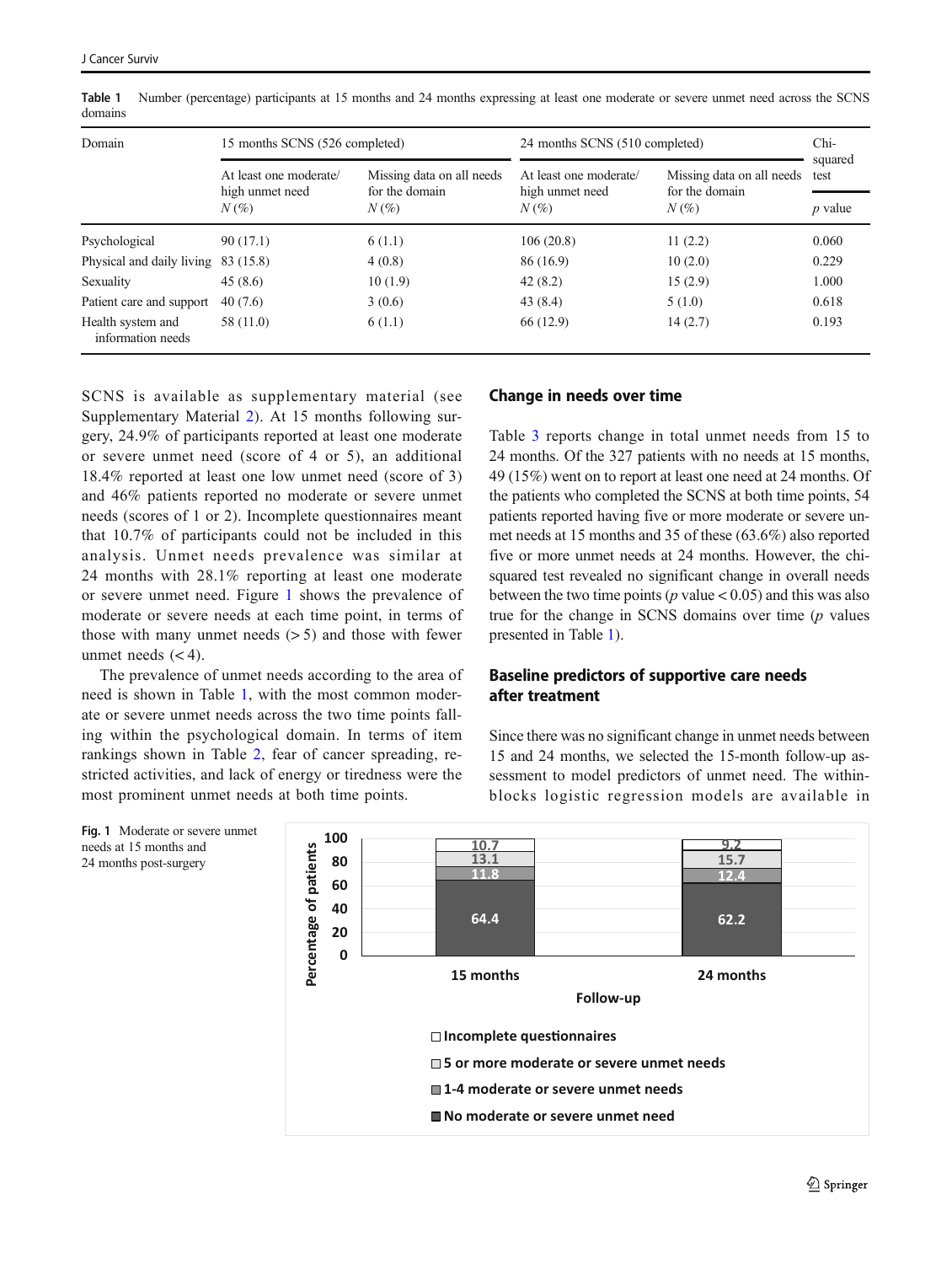| Domain                                 | 15 months SCNS (526 completed) |                           | 24 months SCNS (510 completed) | $Chi-$                    |                 |
|----------------------------------------|--------------------------------|---------------------------|--------------------------------|---------------------------|-----------------|
|                                        | At least one moderate/         | Missing data on all needs | At least one moderate/         | Missing data on all needs | squared<br>test |
|                                        | high unmet need<br>$N(\%)$     | for the domain<br>$N(\%)$ | high unmet need<br>$N(\%)$     | for the domain<br>$N(\%)$ | $p$ value       |
| Psychological                          | 90 (17.1)                      | 6(1.1)                    | 106(20.8)                      | 11(2.2)                   | 0.060           |
| Physical and daily living              | 83 (15.8)                      | 4(0.8)                    | 86 (16.9)                      | 10(2.0)                   | 0.229           |
| Sexuality                              | 45(8.6)                        | 10(1.9)                   | 42(8.2)                        | 15(2.9)                   | 1.000           |
| Patient care and support               | 40(7.6)                        | 3(0.6)                    | 43 (8.4)                       | 5(1.0)                    | 0.618           |
| Health system and<br>information needs | 58 (11.0)                      | 6(1.1)                    | 66 (12.9)                      | 14(2.7)                   | 0.193           |

Table 1 Number (percentage) participants at 15 months and 24 months expressing at least one moderate or severe unmet need across the SCNS domains

SCNS is available as supplementary material (see Supplementary Material 2). At 15 months following surgery, 24.9% of participants reported at least one moderate or severe unmet need (score of 4 or 5), an additional 18.4% reported at least one low unmet need (score of 3) and 46% patients reported no moderate or severe unmet needs (scores of 1 or 2). Incomplete questionnaires meant that 10.7% of participants could not be included in this analysis. Unmet needs prevalence was similar at 24 months with 28.1% reporting at least one moderate or severe unmet need. Figure 1 shows the prevalence of moderate or severe needs at each time point, in terms of those with many unmet needs  $(> 5)$  and those with fewer unmet needs  $(< 4)$ .

The prevalence of unmet needs according to the area of need is shown in Table 1, with the most common moderate or severe unmet needs across the two time points falling within the psychological domain. In terms of item rankings shown in Table 2, fear of cancer spreading, restricted activities, and lack of energy or tiredness were the most prominent unmet needs at both time points.

#### Change in needs over time

Table 3 reports change in total unmet needs from 15 to 24 months. Of the 327 patients with no needs at 15 months, 49 (15%) went on to report at least one need at 24 months. Of the patients who completed the SCNS at both time points, 54 patients reported having five or more moderate or severe unmet needs at 15 months and 35 of these (63.6%) also reported five or more unmet needs at 24 months. However, the chisquared test revealed no significant change in overall needs between the two time points ( $p$  value < 0.05) and this was also true for the change in SCNS domains over time  $(p$  values presented in Table 1).

## Baseline predictors of supportive care needs after treatment

Since there was no significant change in unmet needs between 15 and 24 months, we selected the 15-month follow-up assessment to model predictors of unmet need. The withinblocks logistic regression models are available in



Fig. 1 Moderate or severe unmet needs at 15 months and 24 months post-surgery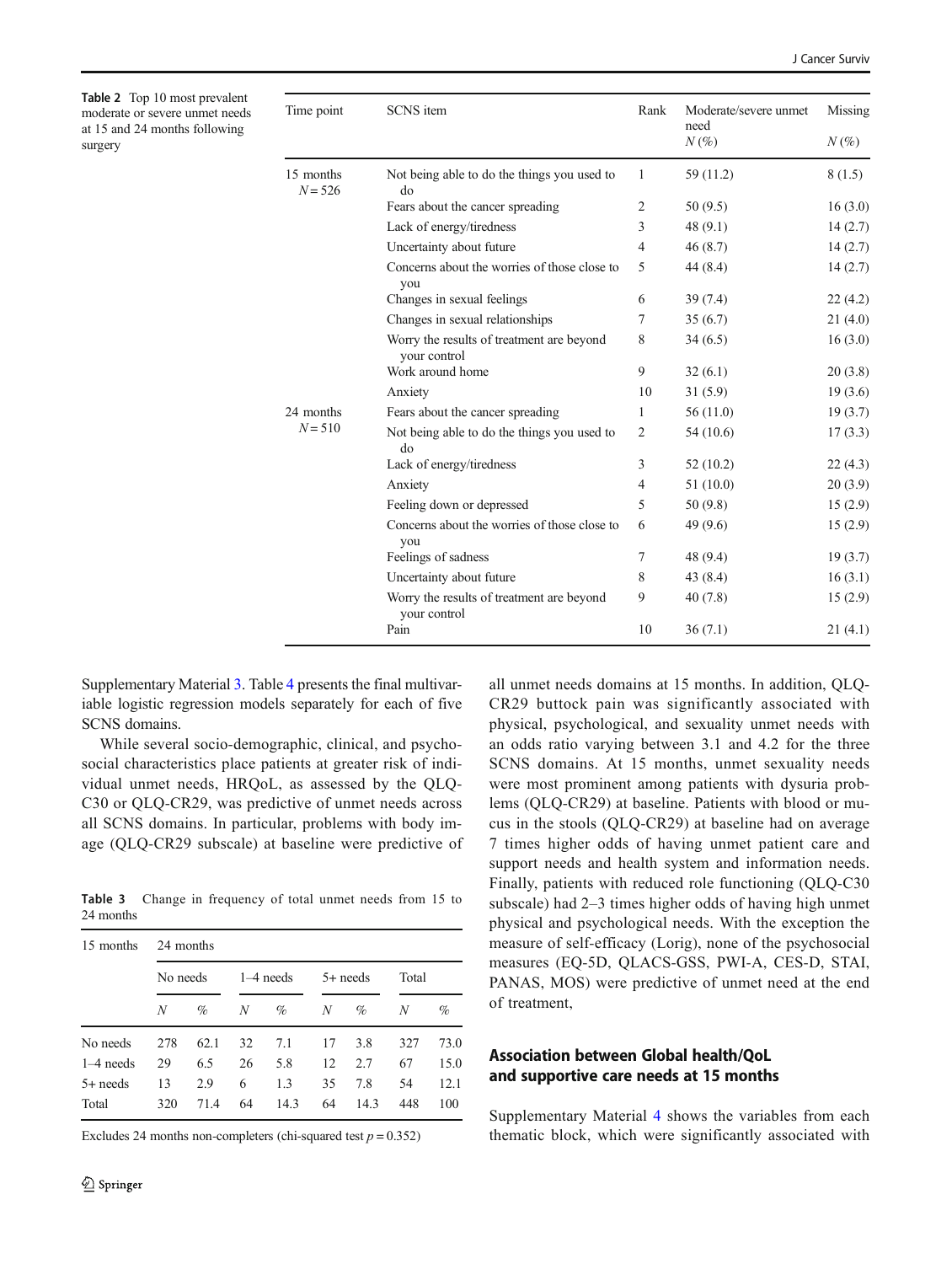Table 2 Top 10 most prevalent moderate or severe unmet needs at 15 and 24 months following surgery

| Time point             | SCNS item                                                 | Rank           | Moderate/severe unmet<br>need<br>$N(\%)$ | Missing<br>$N(\%)$ |
|------------------------|-----------------------------------------------------------|----------------|------------------------------------------|--------------------|
| 15 months<br>$N = 526$ | Not being able to do the things you used to<br>do         | 1              | 59 (11.2)                                | 8(1.5)             |
|                        | Fears about the cancer spreading                          | 2              | 50 (9.5)                                 | 16(3.0)            |
|                        | Lack of energy/tiredness                                  | 3              | 48(9.1)                                  | 14(2.7)            |
|                        | Uncertainty about future                                  | $\overline{4}$ | 46(8.7)                                  | 14(2.7)            |
|                        | Concerns about the worries of those close to<br>you       | 5              | 44(8.4)                                  | 14(2.7)            |
|                        | Changes in sexual feelings                                | 6              | 39(7.4)                                  | 22(4.2)            |
|                        | Changes in sexual relationships                           | 7              | 35(6.7)                                  | 21(4.0)            |
|                        | Worry the results of treatment are beyond<br>your control | 8              | 34(6.5)                                  | 16(3.0)            |
|                        | Work around home                                          | 9              | 32(6.1)                                  | 20(3.8)            |
|                        | Anxiety                                                   | 10             | 31(5.9)                                  | 19(3.6)            |
| 24 months<br>$N = 510$ | Fears about the cancer spreading                          | 1              | 56 (11.0)                                | 19(3.7)            |
|                        | Not being able to do the things you used to<br>do         | 2              | 54 (10.6)                                | 17(3.3)            |
|                        | Lack of energy/tiredness                                  | 3              | 52 (10.2)                                | 22(4.3)            |
|                        | Anxiety                                                   | $\overline{4}$ | 51(10.0)                                 | 20(3.9)            |
|                        | Feeling down or depressed                                 | 5              | 50 (9.8)                                 | 15(2.9)            |
|                        | Concerns about the worries of those close to<br>you       | 6              | 49 (9.6)                                 | 15(2.9)            |
|                        | Feelings of sadness                                       | 7              | 48 (9.4)                                 | 19(3.7)            |
|                        | Uncertainty about future                                  | 8              | 43 (8.4)                                 | 16(3.1)            |
|                        | Worry the results of treatment are beyond<br>your control | 9              | 40(7.8)                                  | 15(2.9)            |
|                        | Pain                                                      | 10             | 36(7.1)                                  | 21(4.1)            |
|                        |                                                           |                |                                          |                    |

Supplementary Material 3. Table 4 presents the final multivariable logistic regression models separately for each of five SCNS domains.

While several socio-demographic, clinical, and psychosocial characteristics place patients at greater risk of individual unmet needs, HRQoL, as assessed by the QLQ-C30 or QLQ-CR29, was predictive of unmet needs across all SCNS domains. In particular, problems with body image (QLQ-CR29 subscale) at baseline were predictive of

Table 3 Change in frequency of total unmet needs from 15 to 24 months

| 15 months   | 24 months |      |             |      |            |      |       |      |  |
|-------------|-----------|------|-------------|------|------------|------|-------|------|--|
|             | No needs  |      | $1-4$ needs |      | $5+$ needs |      | Total |      |  |
|             | N         | $\%$ | N           | $\%$ | N          | $\%$ | N     | $\%$ |  |
| No needs    | 278       | 62.1 | 32          | 7.1  | 17         | 3.8  | 327   | 73.0 |  |
| $1-4$ needs | 29        | 6.5  | 26          | 5.8  | 12         | 2.7  | 67    | 15.0 |  |
| $5+$ needs  | 13        | 2.9  | 6           | 1.3  | 35         | 7.8  | 54    | 12.1 |  |
| Total       | 320       | 71.4 | 64          | 14.3 | 64         | 14.3 | 448   | 100  |  |

Excludes 24 months non-completers (chi-squared test  $p = 0.352$ )

all unmet needs domains at 15 months. In addition, QLQ-CR29 buttock pain was significantly associated with physical, psychological, and sexuality unmet needs with an odds ratio varying between 3.1 and 4.2 for the three SCNS domains. At 15 months, unmet sexuality needs were most prominent among patients with dysuria problems (QLQ-CR29) at baseline. Patients with blood or mucus in the stools (QLQ-CR29) at baseline had on average 7 times higher odds of having unmet patient care and support needs and health system and information needs. Finally, patients with reduced role functioning (QLQ-C30 subscale) had 2–3 times higher odds of having high unmet physical and psychological needs. With the exception the measure of self-efficacy (Lorig), none of the psychosocial measures (EQ-5D, QLACS-GSS, PWI-A, CES-D, STAI, PANAS, MOS) were predictive of unmet need at the end of treatment,

## Association between Global health/QoL and supportive care needs at 15 months

Supplementary Material 4 shows the variables from each thematic block, which were significantly associated with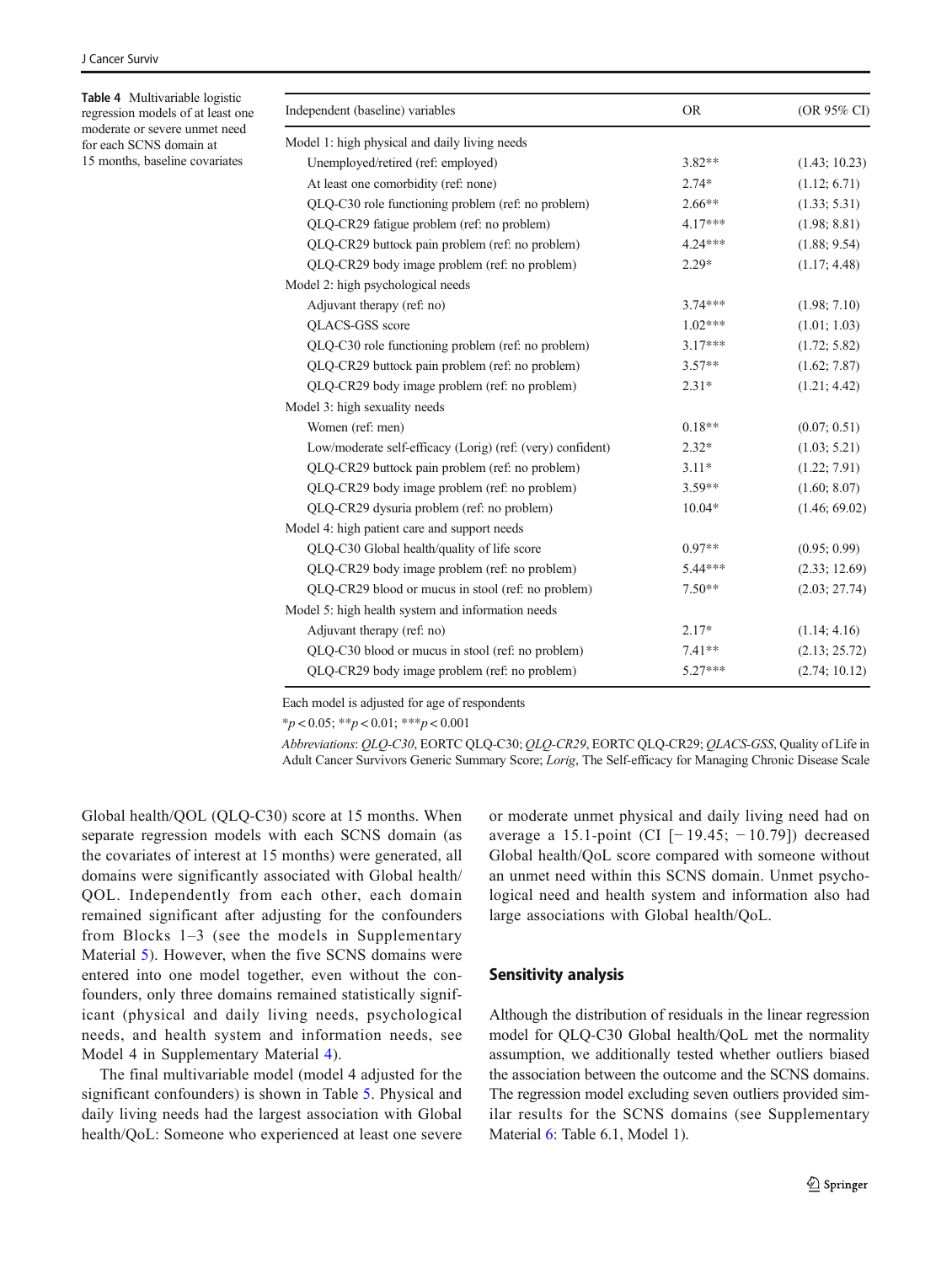Table 4 Multivariable logistic regression models of at least one moderate or severe unmet need for each SCNS domain at 15 months, baseline covariates

| Independent (baseline) variables                           | <b>OR</b> | (OR 95% CI)   |  |
|------------------------------------------------------------|-----------|---------------|--|
| Model 1: high physical and daily living needs              |           |               |  |
| Unemployed/retired (ref: employed)                         | $3.82**$  | (1.43; 10.23) |  |
| At least one comorbidity (ref: none)                       | $2.74*$   | (1.12; 6.71)  |  |
| QLQ-C30 role functioning problem (ref: no problem)         | $2.66**$  | (1.33; 5.31)  |  |
| QLQ-CR29 fatigue problem (ref: no problem)                 | 4.17***   | (1.98; 8.81)  |  |
| QLQ-CR29 buttock pain problem (ref: no problem)            | $4.24***$ | (1.88; 9.54)  |  |
| QLQ-CR29 body image problem (ref: no problem)              | $2.29*$   | (1.17; 4.48)  |  |
| Model 2: high psychological needs                          |           |               |  |
| Adjuvant therapy (ref: no)                                 | $3.74***$ | (1.98; 7.10)  |  |
| QLACS-GSS score                                            | $1.02***$ | (1.01; 1.03)  |  |
| QLQ-C30 role functioning problem (ref: no problem)         | $3.17***$ | (1.72; 5.82)  |  |
| QLQ-CR29 buttock pain problem (ref: no problem)            | $3.57**$  | (1.62; 7.87)  |  |
| QLQ-CR29 body image problem (ref: no problem)              | $2.31*$   | (1.21; 4.42)  |  |
| Model 3: high sexuality needs                              |           |               |  |
| Women (ref: men)                                           | $0.18**$  | (0.07; 0.51)  |  |
| Low/moderate self-efficacy (Lorig) (ref: (very) confident) | $2.32*$   | (1.03; 5.21)  |  |
| QLQ-CR29 buttock pain problem (ref: no problem)            | $3.11*$   | (1.22; 7.91)  |  |
| QLQ-CR29 body image problem (ref: no problem)              | $3.59**$  | (1.60; 8.07)  |  |
| QLQ-CR29 dysuria problem (ref: no problem)                 | $10.04*$  | (1.46; 69.02) |  |
| Model 4: high patient care and support needs               |           |               |  |
| QLQ-C30 Global health/quality of life score                | $0.97**$  | (0.95; 0.99)  |  |
| QLQ-CR29 body image problem (ref: no problem)              | 5.44***   | (2.33; 12.69) |  |
| QLQ-CR29 blood or mucus in stool (ref: no problem)         | $7.50**$  | (2.03; 27.74) |  |
| Model 5: high health system and information needs          |           |               |  |
| Adjuvant therapy (ref: no)                                 | $2.17*$   | (1.14; 4.16)  |  |
| QLQ-C30 blood or mucus in stool (ref: no problem)          | $7.41**$  | (2.13; 25.72) |  |
| QLQ-CR29 body image problem (ref: no problem)              | $5.27***$ | (2.74; 10.12) |  |

Each model is adjusted for age of respondents

\*p < 0.05; \*\*p < 0.01; \*\*\*p < 0.001

Abbreviations: QLQ-C30, EORTC QLQ-C30; QLQ-CR29, EORTC QLQ-CR29; QLACS-GSS, Quality of Life in Adult Cancer Survivors Generic Summary Score; Lorig, The Self-efficacy for Managing Chronic Disease Scale

Global health/QOL (QLQ-C30) score at 15 months. When separate regression models with each SCNS domain (as the covariates of interest at 15 months) were generated, all domains were significantly associated with Global health/ QOL. Independently from each other, each domain remained significant after adjusting for the confounders from Blocks 1–3 (see the models in Supplementary Material 5). However, when the five SCNS domains were entered into one model together, even without the confounders, only three domains remained statistically significant (physical and daily living needs, psychological needs, and health system and information needs, see Model 4 in Supplementary Material 4).

The final multivariable model (model 4 adjusted for the significant confounders) is shown in Table 5. Physical and daily living needs had the largest association with Global health/QoL: Someone who experienced at least one severe or moderate unmet physical and daily living need had on average a 15.1-point (CI  $[-19.45; -10.79]$ ) decreased Global health/QoL score compared with someone without an unmet need within this SCNS domain. Unmet psychological need and health system and information also had large associations with Global health/QoL.

## Sensitivity analysis

Although the distribution of residuals in the linear regression model for QLQ-C30 Global health/QoL met the normality assumption, we additionally tested whether outliers biased the association between the outcome and the SCNS domains. The regression model excluding seven outliers provided similar results for the SCNS domains (see Supplementary Material 6: Table 6.1, Model 1).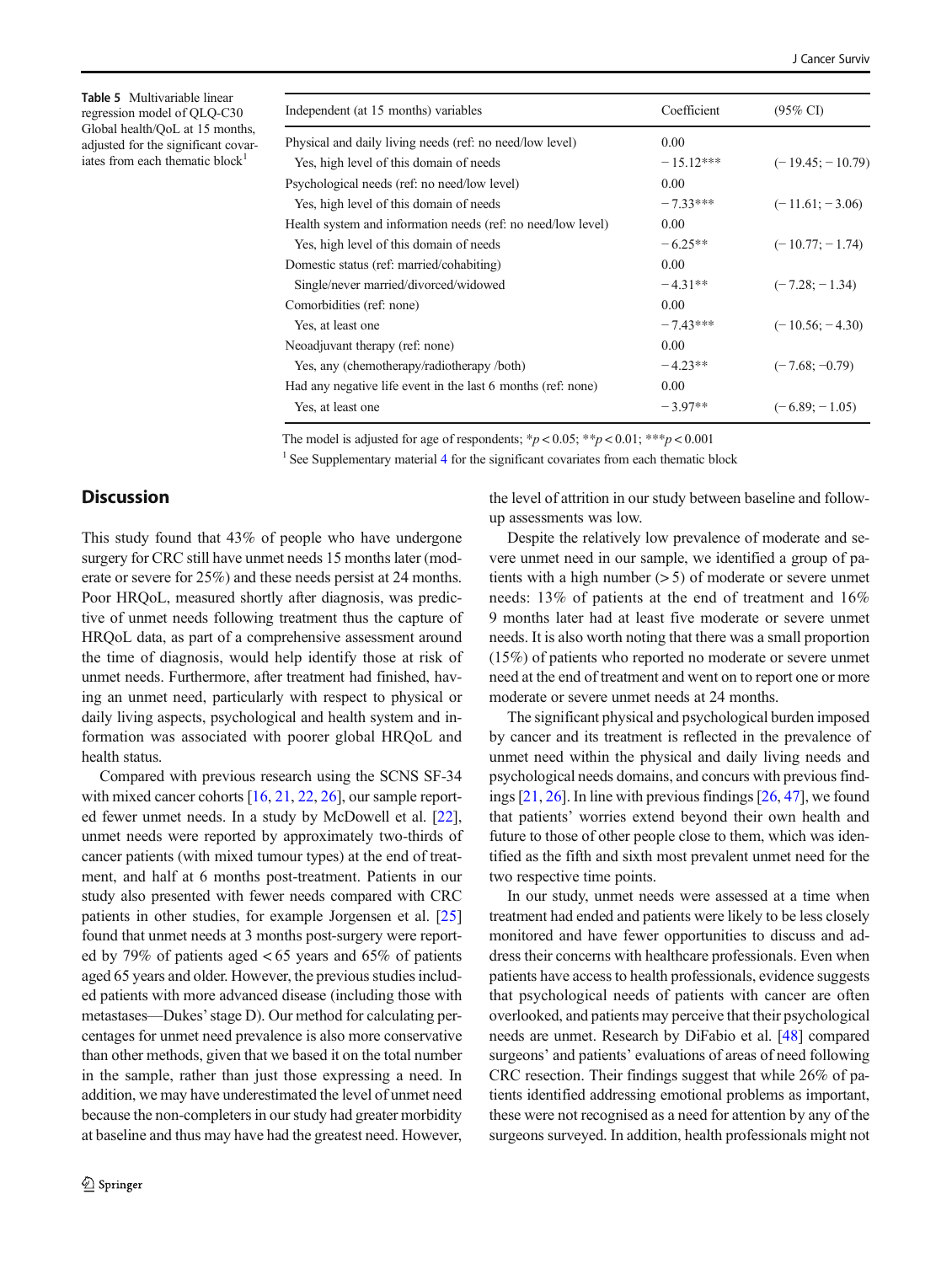Table 5 Multivariable linear regression model of QLQ-C30 Global health/QoL at 15 months, adjusted for the significant covariates from each thematic block $<sup>1</sup>$ </sup>

| Independent (at 15 months) variables                         | Coefficient | $(95\% \text{ CI})$ |
|--------------------------------------------------------------|-------------|---------------------|
| Physical and daily living needs (ref: no need/low level)     | 0.00        |                     |
| Yes, high level of this domain of needs                      | $-15.12***$ | $(-19.45:-10.79)$   |
| Psychological needs (ref: no need/low level)                 | 0.00        |                     |
| Yes, high level of this domain of needs                      | $-7.33***$  | $(-11.61; -3.06)$   |
| Health system and information needs (ref: no need/low level) | 0.00        |                     |
| Yes, high level of this domain of needs                      | $-6.25**$   | $(-10.77: -1.74)$   |
| Domestic status (ref: married/cohabiting)                    | 0.00        |                     |
| Single/never married/divorced/widowed                        | $-4.31**$   | $(-7.28: -1.34)$    |
| Comorbidities (ref. none)                                    | 0.00        |                     |
| Yes, at least one                                            | $-7.43***$  | $(-10.56; -4.30)$   |
| Neoadjuvant therapy (ref: none)                              | 0.00        |                     |
| Yes, any (chemotherapy/radiotherapy/both)                    | $-4.23**$   | $(-7.68; -0.79)$    |
| Had any negative life event in the last 6 months (ref: none) | 0.00        |                     |
| Yes, at least one                                            | $-3.97**$   | $(-6.89; -1.05)$    |
|                                                              |             |                     |

The model is adjusted for age of respondents;  $**p* < 0.05$ ;  $**p* < 0.01$ ;  $**p* < 0.001$ 

 $1$  See Supplementary material 4 for the significant covariates from each thematic block

## **Discussion**

This study found that 43% of people who have undergone surgery for CRC still have unmet needs 15 months later (moderate or severe for 25%) and these needs persist at 24 months. Poor HRQoL, measured shortly after diagnosis, was predictive of unmet needs following treatment thus the capture of HRQoL data, as part of a comprehensive assessment around the time of diagnosis, would help identify those at risk of unmet needs. Furthermore, after treatment had finished, having an unmet need, particularly with respect to physical or daily living aspects, psychological and health system and information was associated with poorer global HRQoL and health status.

Compared with previous research using the SCNS SF-34 with mixed cancer cohorts [16, 21, 22, 26], our sample reported fewer unmet needs. In a study by McDowell et al. [22], unmet needs were reported by approximately two-thirds of cancer patients (with mixed tumour types) at the end of treatment, and half at 6 months post-treatment. Patients in our study also presented with fewer needs compared with CRC patients in other studies, for example Jorgensen et al. [25] found that unmet needs at 3 months post-surgery were reported by 79% of patients aged  $< 65$  years and 65% of patients aged 65 years and older. However, the previous studies included patients with more advanced disease (including those with metastases—Dukes'stage D). Our method for calculating percentages for unmet need prevalence is also more conservative than other methods, given that we based it on the total number in the sample, rather than just those expressing a need. In addition, we may have underestimated the level of unmet need because the non-completers in our study had greater morbidity at baseline and thus may have had the greatest need. However,

the level of attrition in our study between baseline and followup assessments was low.

Despite the relatively low prevalence of moderate and severe unmet need in our sample, we identified a group of patients with a high number (> 5) of moderate or severe unmet needs: 13% of patients at the end of treatment and 16% 9 months later had at least five moderate or severe unmet needs. It is also worth noting that there was a small proportion (15%) of patients who reported no moderate or severe unmet need at the end of treatment and went on to report one or more moderate or severe unmet needs at 24 months.

The significant physical and psychological burden imposed by cancer and its treatment is reflected in the prevalence of unmet need within the physical and daily living needs and psychological needs domains, and concurs with previous findings [21, 26]. In line with previous findings [26, 47], we found that patients' worries extend beyond their own health and future to those of other people close to them, which was identified as the fifth and sixth most prevalent unmet need for the two respective time points.

In our study, unmet needs were assessed at a time when treatment had ended and patients were likely to be less closely monitored and have fewer opportunities to discuss and address their concerns with healthcare professionals. Even when patients have access to health professionals, evidence suggests that psychological needs of patients with cancer are often overlooked, and patients may perceive that their psychological needs are unmet. Research by DiFabio et al. [48] compared surgeons' and patients' evaluations of areas of need following CRC resection. Their findings suggest that while 26% of patients identified addressing emotional problems as important, these were not recognised as a need for attention by any of the surgeons surveyed. In addition, health professionals might not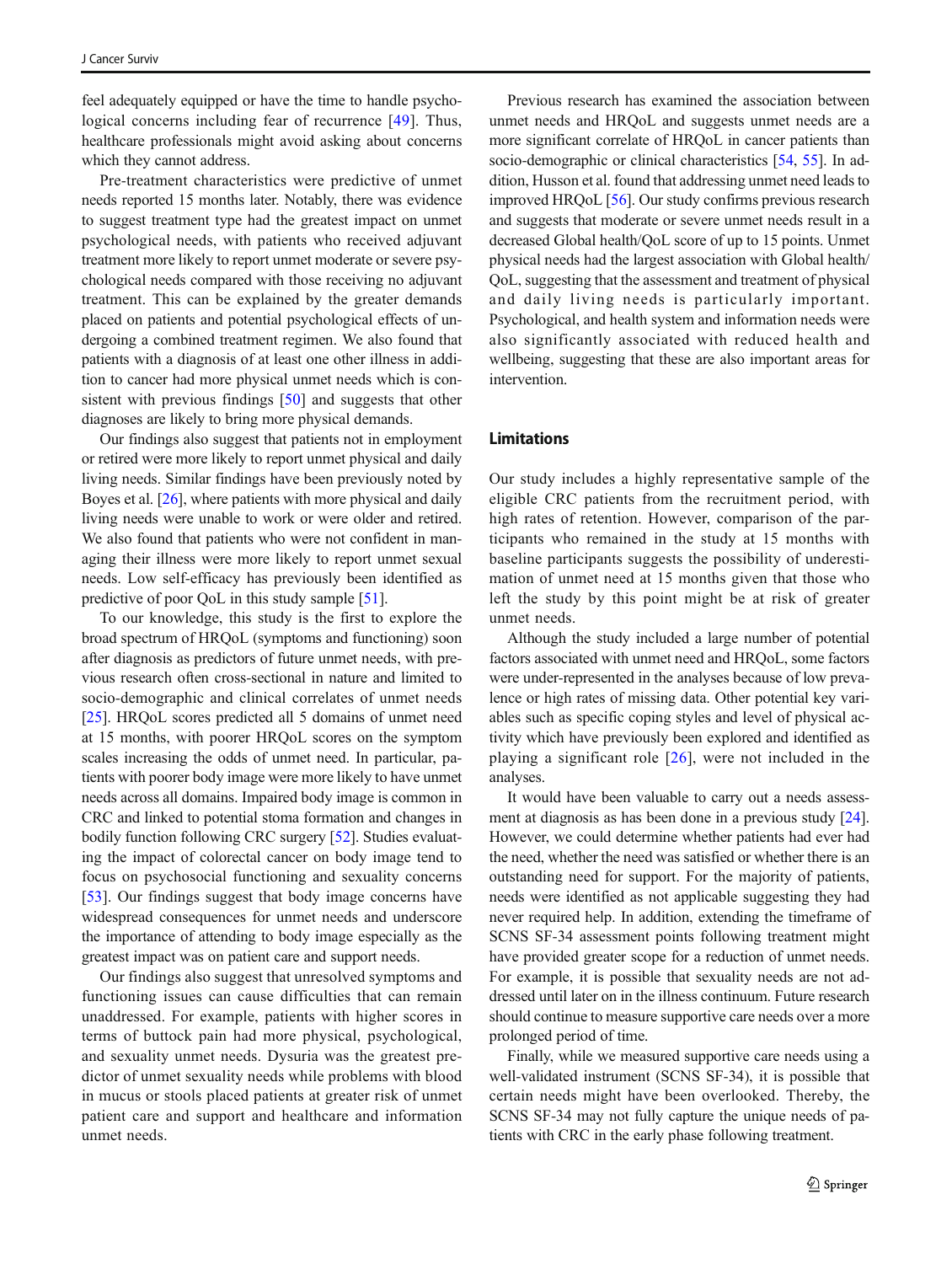feel adequately equipped or have the time to handle psychological concerns including fear of recurrence [49]. Thus, healthcare professionals might avoid asking about concerns which they cannot address.

Pre-treatment characteristics were predictive of unmet needs reported 15 months later. Notably, there was evidence to suggest treatment type had the greatest impact on unmet psychological needs, with patients who received adjuvant treatment more likely to report unmet moderate or severe psychological needs compared with those receiving no adjuvant treatment. This can be explained by the greater demands placed on patients and potential psychological effects of undergoing a combined treatment regimen. We also found that patients with a diagnosis of at least one other illness in addition to cancer had more physical unmet needs which is consistent with previous findings [50] and suggests that other diagnoses are likely to bring more physical demands.

Our findings also suggest that patients not in employment or retired were more likely to report unmet physical and daily living needs. Similar findings have been previously noted by Boyes et al. [26], where patients with more physical and daily living needs were unable to work or were older and retired. We also found that patients who were not confident in managing their illness were more likely to report unmet sexual needs. Low self-efficacy has previously been identified as predictive of poor QoL in this study sample [51].

To our knowledge, this study is the first to explore the broad spectrum of HRQoL (symptoms and functioning) soon after diagnosis as predictors of future unmet needs, with previous research often cross-sectional in nature and limited to socio-demographic and clinical correlates of unmet needs [25]. HRQoL scores predicted all 5 domains of unmet need at 15 months, with poorer HRQoL scores on the symptom scales increasing the odds of unmet need. In particular, patients with poorer body image were more likely to have unmet needs across all domains. Impaired body image is common in CRC and linked to potential stoma formation and changes in bodily function following CRC surgery [52]. Studies evaluating the impact of colorectal cancer on body image tend to focus on psychosocial functioning and sexuality concerns [53]. Our findings suggest that body image concerns have widespread consequences for unmet needs and underscore the importance of attending to body image especially as the greatest impact was on patient care and support needs.

Our findings also suggest that unresolved symptoms and functioning issues can cause difficulties that can remain unaddressed. For example, patients with higher scores in terms of buttock pain had more physical, psychological, and sexuality unmet needs. Dysuria was the greatest predictor of unmet sexuality needs while problems with blood in mucus or stools placed patients at greater risk of unmet patient care and support and healthcare and information unmet needs.

Previous research has examined the association between unmet needs and HRQoL and suggests unmet needs are a more significant correlate of HRQoL in cancer patients than socio-demographic or clinical characteristics [54, 55]. In addition, Husson et al. found that addressing unmet need leads to improved HRQoL [56]. Our study confirms previous research and suggests that moderate or severe unmet needs result in a decreased Global health/QoL score of up to 15 points. Unmet physical needs had the largest association with Global health/ QoL, suggesting that the assessment and treatment of physical and daily living needs is particularly important. Psychological, and health system and information needs were also significantly associated with reduced health and wellbeing, suggesting that these are also important areas for intervention.

## Limitations

Our study includes a highly representative sample of the eligible CRC patients from the recruitment period, with high rates of retention. However, comparison of the participants who remained in the study at 15 months with baseline participants suggests the possibility of underestimation of unmet need at 15 months given that those who left the study by this point might be at risk of greater unmet needs.

Although the study included a large number of potential factors associated with unmet need and HRQoL, some factors were under-represented in the analyses because of low prevalence or high rates of missing data. Other potential key variables such as specific coping styles and level of physical activity which have previously been explored and identified as playing a significant role [26], were not included in the analyses.

It would have been valuable to carry out a needs assessment at diagnosis as has been done in a previous study [24]. However, we could determine whether patients had ever had the need, whether the need was satisfied or whether there is an outstanding need for support. For the majority of patients, needs were identified as not applicable suggesting they had never required help. In addition, extending the timeframe of SCNS SF-34 assessment points following treatment might have provided greater scope for a reduction of unmet needs. For example, it is possible that sexuality needs are not addressed until later on in the illness continuum. Future research should continue to measure supportive care needs over a more prolonged period of time.

Finally, while we measured supportive care needs using a well-validated instrument (SCNS SF-34), it is possible that certain needs might have been overlooked. Thereby, the SCNS SF-34 may not fully capture the unique needs of patients with CRC in the early phase following treatment.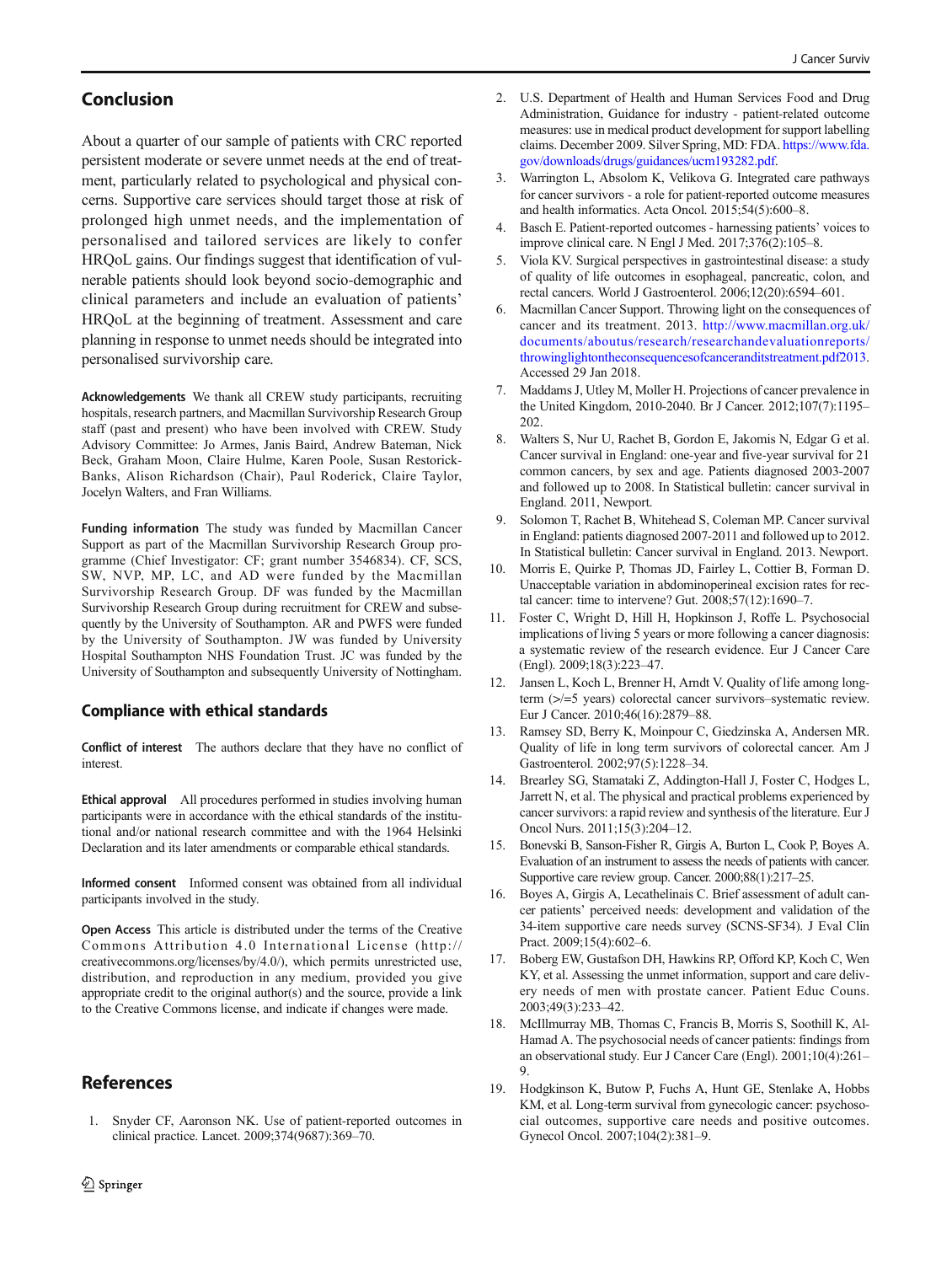## Conclusion

About a quarter of our sample of patients with CRC reported persistent moderate or severe unmet needs at the end of treatment, particularly related to psychological and physical concerns. Supportive care services should target those at risk of prolonged high unmet needs, and the implementation of personalised and tailored services are likely to confer HRQoL gains. Our findings suggest that identification of vulnerable patients should look beyond socio-demographic and clinical parameters and include an evaluation of patients' HRQoL at the beginning of treatment. Assessment and care planning in response to unmet needs should be integrated into personalised survivorship care.

Acknowledgements We thank all CREW study participants, recruiting hospitals, research partners, and Macmillan Survivorship Research Group staff (past and present) who have been involved with CREW. Study Advisory Committee: Jo Armes, Janis Baird, Andrew Bateman, Nick Beck, Graham Moon, Claire Hulme, Karen Poole, Susan Restorick-Banks, Alison Richardson (Chair), Paul Roderick, Claire Taylor, Jocelyn Walters, and Fran Williams.

Funding information The study was funded by Macmillan Cancer Support as part of the Macmillan Survivorship Research Group programme (Chief Investigator: CF; grant number 3546834). CF, SCS, SW, NVP, MP, LC, and AD were funded by the Macmillan Survivorship Research Group. DF was funded by the Macmillan Survivorship Research Group during recruitment for CREW and subsequently by the University of Southampton. AR and PWFS were funded by the University of Southampton. JW was funded by University Hospital Southampton NHS Foundation Trust. JC was funded by the University of Southampton and subsequently University of Nottingham.

#### Compliance with ethical standards

Conflict of interest The authors declare that they have no conflict of interest.

Ethical approval All procedures performed in studies involving human participants were in accordance with the ethical standards of the institutional and/or national research committee and with the 1964 Helsinki Declaration and its later amendments or comparable ethical standards.

Informed consent Informed consent was obtained from all individual participants involved in the study.

Open Access This article is distributed under the terms of the Creative Commons Attribution 4.0 International License (http:// creativecommons.org/licenses/by/4.0/), which permits unrestricted use, distribution, and reproduction in any medium, provided you give appropriate credit to the original author(s) and the source, provide a link to the Creative Commons license, and indicate if changes were made.

## References

1. Snyder CF, Aaronson NK. Use of patient-reported outcomes in clinical practice. Lancet. 2009;374(9687):369–70.

- 2. U.S. Department of Health and Human Services Food and Drug Administration, Guidance for industry - patient-related outcome measures: use in medical product development for support labelling claims. December 2009. Silver Spring, MD: FDA. https://www.fda. gov/downloads/drugs/guidances/ucm193282.pdf.
- 3. Warrington L, Absolom K, Velikova G. Integrated care pathways for cancer survivors - a role for patient-reported outcome measures and health informatics. Acta Oncol. 2015;54(5):600–8.
- 4. Basch E. Patient-reported outcomes harnessing patients' voices to improve clinical care. N Engl J Med. 2017;376(2):105–8.
- 5. Viola KV. Surgical perspectives in gastrointestinal disease: a study of quality of life outcomes in esophageal, pancreatic, colon, and rectal cancers. World J Gastroenterol. 2006;12(20):6594–601.
- 6. Macmillan Cancer Support. Throwing light on the consequences of cancer and its treatment. 2013. http://www.macmillan.org.uk/ documents/aboutus/research/researchandevaluationreports/ throwinglightontheconsequencesofcanceranditstreatment.pdf2013. Accessed 29 Jan 2018.
- 7. Maddams J, Utley M, Moller H. Projections of cancer prevalence in the United Kingdom, 2010-2040. Br J Cancer. 2012;107(7):1195– 202.
- 8. Walters S, Nur U, Rachet B, Gordon E, Jakomis N, Edgar G et al. Cancer survival in England: one-year and five-year survival for 21 common cancers, by sex and age. Patients diagnosed 2003-2007 and followed up to 2008. In Statistical bulletin: cancer survival in England. 2011, Newport.
- 9. Solomon T, Rachet B, Whitehead S, Coleman MP. Cancer survival in England: patients diagnosed 2007-2011 and followed up to 2012. In Statistical bulletin: Cancer survival in England. 2013. Newport.
- 10. Morris E, Quirke P, Thomas JD, Fairley L, Cottier B, Forman D. Unacceptable variation in abdominoperineal excision rates for rectal cancer: time to intervene? Gut. 2008;57(12):1690–7.
- 11. Foster C, Wright D, Hill H, Hopkinson J, Roffe L. Psychosocial implications of living 5 years or more following a cancer diagnosis: a systematic review of the research evidence. Eur J Cancer Care (Engl). 2009;18(3):223–47.
- 12. Jansen L, Koch L, Brenner H, Arndt V. Quality of life among longterm ( $>\!/=5$  years) colorectal cancer survivors–systematic review. Eur J Cancer. 2010;46(16):2879–88.
- 13. Ramsey SD, Berry K, Moinpour C, Giedzinska A, Andersen MR. Quality of life in long term survivors of colorectal cancer. Am J Gastroenterol. 2002;97(5):1228–34.
- 14. Brearley SG, Stamataki Z, Addington-Hall J, Foster C, Hodges L, Jarrett N, et al. The physical and practical problems experienced by cancer survivors: a rapid review and synthesis of the literature. Eur J Oncol Nurs. 2011;15(3):204–12.
- 15. Bonevski B, Sanson-Fisher R, Girgis A, Burton L, Cook P, Boyes A. Evaluation of an instrument to assess the needs of patients with cancer. Supportive care review group. Cancer. 2000;88(1):217–25.
- 16. Boyes A, Girgis A, Lecathelinais C. Brief assessment of adult cancer patients' perceived needs: development and validation of the 34-item supportive care needs survey (SCNS-SF34). J Eval Clin Pract. 2009;15(4):602–6.
- 17. Boberg EW, Gustafson DH, Hawkins RP, Offord KP, Koch C, Wen KY, et al. Assessing the unmet information, support and care delivery needs of men with prostate cancer. Patient Educ Couns. 2003;49(3):233–42.
- 18. McIllmurray MB, Thomas C, Francis B, Morris S, Soothill K, Al-Hamad A. The psychosocial needs of cancer patients: findings from an observational study. Eur J Cancer Care (Engl). 2001;10(4):261– 9.
- 19. Hodgkinson K, Butow P, Fuchs A, Hunt GE, Stenlake A, Hobbs KM, et al. Long-term survival from gynecologic cancer: psychosocial outcomes, supportive care needs and positive outcomes. Gynecol Oncol. 2007;104(2):381–9.